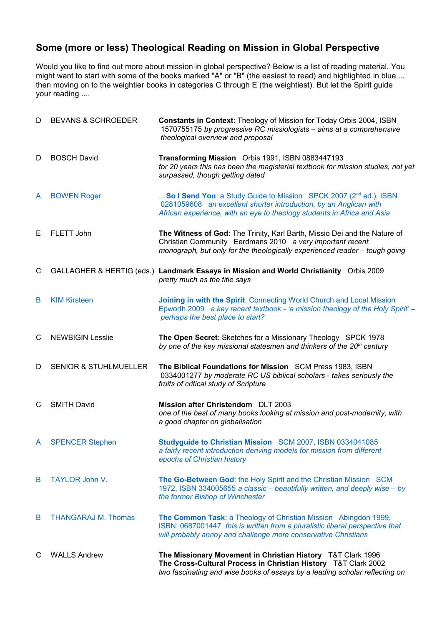## **Some (more or less) Theological Reading on Mission in Global Perspective**

Would you like to find out more about mission in global perspective? Below is a list of reading material. You might want to start with some of the books marked "A" or "B" (the easiest to read) and highlighted in blue ... then moving on to the weightier books in categories C through E (the weightiest). But let the Spirit guide your reading ....

| D | <b>BEVANS &amp; SCHROEDER</b>    | Constants in Context: Theology of Mission for Today Orbis 2004, ISBN<br>1570755175 by progressive RC missiologists - aims at a comprehensive<br>theological overview and proposal                                             |
|---|----------------------------------|-------------------------------------------------------------------------------------------------------------------------------------------------------------------------------------------------------------------------------|
| D | <b>BOSCH David</b>               | Transforming Mission Orbis 1991, ISBN 0883447193<br>for 20 years this has been the magisterial textbook for mission studies, not yet<br>surpassed, though getting dated                                                       |
| A | <b>BOWEN Roger</b>               | So I Send You: a Study Guide to Mission SPCK 2007 (2 <sup>nd</sup> ed.), ISBN<br>0281059608 an excellent shorter introduction, by an Anglican with<br>African experience, with an eye to theology students in Africa and Asia |
| E | FLETT John                       | The Witness of God: The Trinity, Karl Barth, Missio Dei and the Nature of<br>Christian Community Eerdmans 2010 a very important recent<br>monograph, but only for the theologically experienced reader - tough going          |
| C |                                  | GALLAGHER & HERTIG (eds.) Landmark Essays in Mission and World Christianity Orbis 2009<br>pretty much as the title says                                                                                                       |
| В | <b>KIM Kirsteen</b>              | Joining in with the Spirit: Connecting World Church and Local Mission<br>Epworth 2009 a key recent textbook - 'a mission theology of the Holy Spirit' -<br>perhaps the best place to start?                                   |
| C | <b>NEWBIGIN Lesslie</b>          | The Open Secret: Sketches for a Missionary Theology SPCK 1978<br>by one of the key missional statesmen and thinkers of the 20 <sup>th</sup> century                                                                           |
| D | <b>SENIOR &amp; STUHLMUELLER</b> | The Biblical Foundations for Mission SCM Press 1983, ISBN<br>0334001277 by moderate RC US biblical scholars - takes seriously the<br>fruits of critical study of Scripture                                                    |
| С | <b>SMITH David</b>               | Mission after Christendom DLT 2003<br>one of the best of many books looking at mission and post-modernity, with<br>a good chapter on globalisation                                                                            |
| A | <b>SPENCER Stephen</b>           | Studyguide to Christian Mission SCM 2007, ISBN 0334041085<br>a fairly recent introduction deriving models for mission from different<br>epochs of Christian history                                                           |
| B | <b>TAYLOR John V.</b>            | The Go-Between God: the Holy Spirit and the Christian Mission SCM<br>1972, ISBN 334005655 a classic – beautifully written, and deeply wise – by<br>the former Bishop of Winchester                                            |
| B | <b>THANGARAJ M. Thomas</b>       | The Common Task: a Theology of Christian Mission Abingdon 1999,<br>ISBN: 0687001447 this is written from a pluralistic liberal perspective that<br>will probably annoy and challenge more conservative Christians             |
| С | <b>WALLS Andrew</b>              | The Missionary Movement in Christian History T&T Clark 1996<br>The Cross-Cultural Process in Christian History T&T Clark 2002<br>two fascinating and wise books of essays by a leading scholar reflecting on                  |